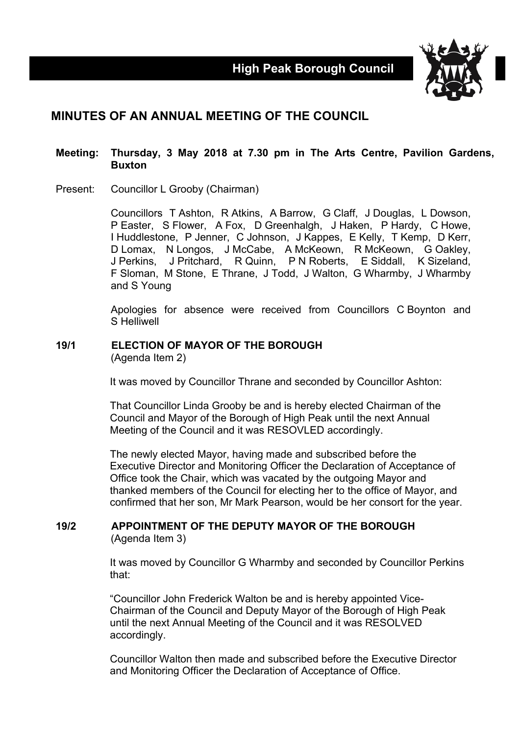

# **MINUTES OF AN ANNUAL MEETING OF THE COUNCIL**

### **Meeting: Thursday, 3 May 2018 at 7.30 pm in The Arts Centre, Pavilion Gardens, Buxton**

Present: Councillor L Grooby (Chairman)

Councillors T Ashton, R Atkins, A Barrow, G Claff, J Douglas, L Dowson, P Easter, S Flower, A Fox, D Greenhalgh, J Haken, P Hardy, C Howe, I Huddlestone, P Jenner, C Johnson, J Kappes, E Kelly, T Kemp, D Kerr, D Lomax, N Longos, J McCabe, A McKeown, R McKeown, G Oakley, J Perkins, J Pritchard, R Quinn, P N Roberts, E Siddall, K Sizeland, F Sloman, M Stone, E Thrane, J Todd, J Walton, G Wharmby, J Wharmby and S Young

Apologies for absence were received from Councillors C Boynton and S Helliwell

#### **19/1 ELECTION OF MAYOR OF THE BOROUGH** (Agenda Item 2)

It was moved by Councillor Thrane and seconded by Councillor Ashton:

That Councillor Linda Grooby be and is hereby elected Chairman of the Council and Mayor of the Borough of High Peak until the next Annual Meeting of the Council and it was RESOVLED accordingly.

The newly elected Mayor, having made and subscribed before the Executive Director and Monitoring Officer the Declaration of Acceptance of Office took the Chair, which was vacated by the outgoing Mayor and thanked members of the Council for electing her to the office of Mayor, and confirmed that her son, Mr Mark Pearson, would be her consort for the year.

### **19/2 APPOINTMENT OF THE DEPUTY MAYOR OF THE BOROUGH** (Agenda Item 3)

It was moved by Councillor G Wharmby and seconded by Councillor Perkins that:

"Councillor John Frederick Walton be and is hereby appointed Vice-Chairman of the Council and Deputy Mayor of the Borough of High Peak until the next Annual Meeting of the Council and it was RESOLVED accordingly.

Councillor Walton then made and subscribed before the Executive Director and Monitoring Officer the Declaration of Acceptance of Office.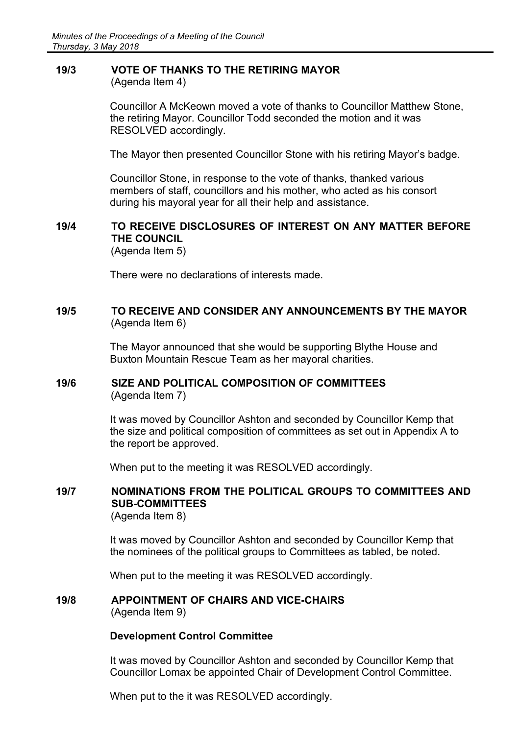### **19/3 VOTE OF THANKS TO THE RETIRING MAYOR** (Agenda Item 4)

Councillor A McKeown moved a vote of thanks to Councillor Matthew Stone, the retiring Mayor. Councillor Todd seconded the motion and it was RESOLVED accordingly.

The Mayor then presented Councillor Stone with his retiring Mayor's badge.

Councillor Stone, in response to the vote of thanks, thanked various members of staff, councillors and his mother, who acted as his consort during his mayoral year for all their help and assistance.

# **19/4 TO RECEIVE DISCLOSURES OF INTEREST ON ANY MATTER BEFORE THE COUNCIL**

(Agenda Item 5)

There were no declarations of interests made.

### **19/5 TO RECEIVE AND CONSIDER ANY ANNOUNCEMENTS BY THE MAYOR** (Agenda Item 6)

The Mayor announced that she would be supporting Blythe House and Buxton Mountain Rescue Team as her mayoral charities.

## **19/6 SIZE AND POLITICAL COMPOSITION OF COMMITTEES** (Agenda Item 7)

It was moved by Councillor Ashton and seconded by Councillor Kemp that the size and political composition of committees as set out in Appendix A to the report be approved.

When put to the meeting it was RESOLVED accordingly.

# **19/7 NOMINATIONS FROM THE POLITICAL GROUPS TO COMMITTEES AND SUB-COMMITTEES**

(Agenda Item 8)

It was moved by Councillor Ashton and seconded by Councillor Kemp that the nominees of the political groups to Committees as tabled, be noted.

When put to the meeting it was RESOLVED accordingly.

### **19/8 APPOINTMENT OF CHAIRS AND VICE-CHAIRS** (Agenda Item 9)

### **Development Control Committee**

It was moved by Councillor Ashton and seconded by Councillor Kemp that Councillor Lomax be appointed Chair of Development Control Committee.

When put to the it was RESOLVED accordingly.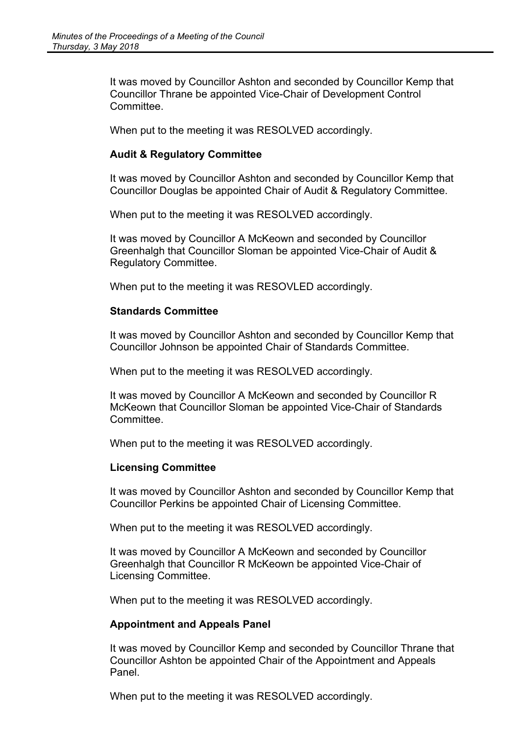It was moved by Councillor Ashton and seconded by Councillor Kemp that Councillor Thrane be appointed Vice-Chair of Development Control **Committee** 

When put to the meeting it was RESOLVED accordingly.

### **Audit & Regulatory Committee**

It was moved by Councillor Ashton and seconded by Councillor Kemp that Councillor Douglas be appointed Chair of Audit & Regulatory Committee.

When put to the meeting it was RESOLVED accordingly.

It was moved by Councillor A McKeown and seconded by Councillor Greenhalgh that Councillor Sloman be appointed Vice-Chair of Audit & Regulatory Committee.

When put to the meeting it was RESOVLED accordingly.

### **Standards Committee**

It was moved by Councillor Ashton and seconded by Councillor Kemp that Councillor Johnson be appointed Chair of Standards Committee.

When put to the meeting it was RESOLVED accordingly.

It was moved by Councillor A McKeown and seconded by Councillor R McKeown that Councillor Sloman be appointed Vice-Chair of Standards **Committee.** 

When put to the meeting it was RESOLVED accordingly.

### **Licensing Committee**

It was moved by Councillor Ashton and seconded by Councillor Kemp that Councillor Perkins be appointed Chair of Licensing Committee.

When put to the meeting it was RESOLVED accordingly.

It was moved by Councillor A McKeown and seconded by Councillor Greenhalgh that Councillor R McKeown be appointed Vice-Chair of Licensing Committee.

When put to the meeting it was RESOLVED accordingly.

### **Appointment and Appeals Panel**

It was moved by Councillor Kemp and seconded by Councillor Thrane that Councillor Ashton be appointed Chair of the Appointment and Appeals Panel.

When put to the meeting it was RESOLVED accordingly.